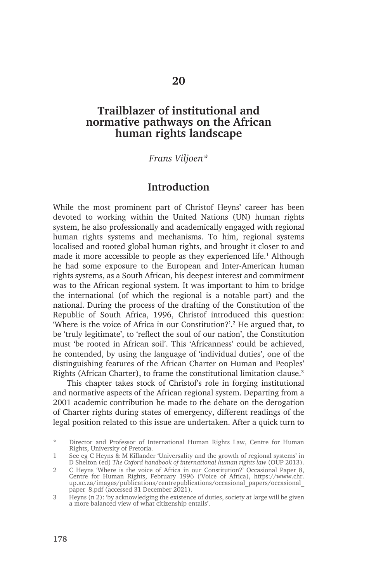# **Trailblazer of institutional and normative pathways on the African human rights landscape**

# *Frans Viljoen\**

## **Introduction**

While the most prominent part of Christof Heyns' career has been devoted to working within the United Nations (UN) human rights system, he also professionally and academically engaged with regional human rights systems and mechanisms. To him, regional systems localised and rooted global human rights, and brought it closer to and made it more accessible to people as they experienced life.<sup>1</sup> Although he had some exposure to the European and Inter-American human rights systems, as a South African, his deepest interest and commitment was to the African regional system. It was important to him to bridge the international (of which the regional is a notable part) and the national. During the process of the drafting of the Constitution of the Republic of South Africa, 1996, Christof introduced this question: 'Where is the voice of Africa in our Constitution?'.<sup>2</sup> He argued that, to be 'truly legitimate', to 'reflect the soul of our nation', the Constitution must 'be rooted in African soil'. This 'Africanness' could be achieved, he contended, by using the language of 'individual duties', one of the distinguishing features of the African Charter on Human and Peoples' Rights (African Charter), to frame the constitutional limitation clause.<sup>3</sup>

This chapter takes stock of Christof's role in forging institutional and normative aspects of the African regional system. Departing from a 2001 academic contribution he made to the debate on the derogation of Charter rights during states of emergency, different readings of the legal position related to this issue are undertaken. After a quick turn to

Director and Professor of International Human Rights Law, Centre for Human Rights, University of Pretoria.

<sup>1</sup> See eg C Heyns & M Killander 'Universality and the growth of regional systems' in D Shelton (ed) *The Oxford handbook of international human rights law* (OUP 2013).

<sup>2</sup> C Heyns 'Where is the voice of Africa in our Constitution?' Occasional Paper 8, Centre for Human Rights, February 1996 ('Voice of Africa), https://www.chr. up.ac.za/images/publications/centrepublications/occasional\_papers/occasional\_ paper 8.pdf (accessed 31 December 2021).

<sup>3</sup> Heyns (n 2): 'by acknowledging the existence of duties, society at large will be given a more balanced view of what citizenship entails'.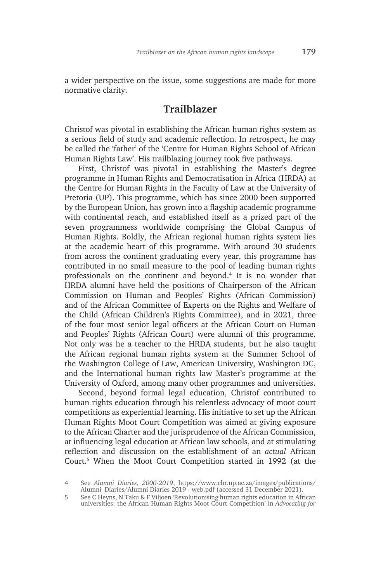a wider perspective on the issue, some suggestions are made for more normative clarity.

## **Trailblazer**

Christof was pivotal in establishing the African human rights system as a serious field of study and academic reflection. In retrospect, he may be called the 'father' of the 'Centre for Human Rights School of African Human Rights Law'. His trailblazing journey took five pathways.

First, Christof was pivotal in establishing the Master's degree programme in Human Rights and Democratisation in Africa (HRDA) at the Centre for Human Rights in the Faculty of Law at the University of Pretoria (UP). This programme, which has since 2000 been supported by the European Union, has grown into a flagship academic programme with continental reach, and established itself as a prized part of the seven programmess worldwide comprising the Global Campus of Human Rights. Boldly, the African regional human rights system lies at the academic heart of this programme. With around 30 students from across the continent graduating every year, this programme has contributed in no small measure to the pool of leading human rights professionals on the continent and beyond.4 It is no wonder that HRDA alumni have held the positions of Chairperson of the African Commission on Human and Peoples' Rights (African Commission) and of the African Committee of Experts on the Rights and Welfare of the Child (African Children's Rights Committee), and in 2021, three of the four most senior legal officers at the African Court on Human and Peoples' Rights (African Court) were alumni of this programme. Not only was he a teacher to the HRDA students, but he also taught the African regional human rights system at the Summer School of the Washington College of Law, American University, Washington DC, and the International human rights law Master's programme at the University of Oxford, among many other programmes and universities.

Second, beyond formal legal education, Christof contributed to human rights education through his relentless advocacy of moot court competitions as experiential learning. His initiative to set up the African Human Rights Moot Court Competition was aimed at giving exposure to the African Charter and the jurisprudence of the African Commission, at influencing legal education at African law schools, and at stimulating reflection and discussion on the establishment of an *actual* African Court.5 When the Moot Court Competition started in 1992 (at the

5 See C Heyns, N Taku & F Viljoen 'Revolutionising human rights education in African universities: the African Human Rights Moot Court Competition' in *Advocating for* 

<sup>4</sup> See *Alumni Diaries, 2000-2019*, https://www.chr.up.ac.za/images/publications/ Alumni Diaries/Alumni Diaries 2019 - web.pdf (accessed 31 December 2021).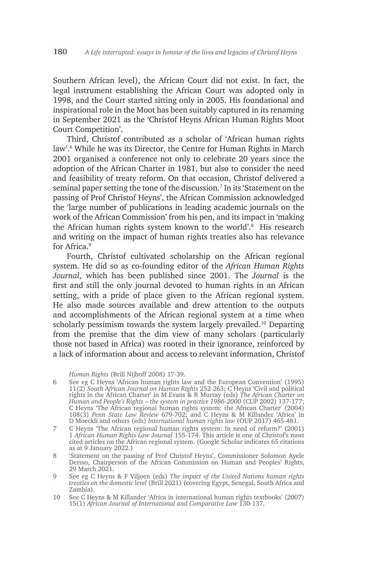Southern African level), the African Court did not exist. In fact, the legal instrument establishing the African Court was adopted only in 1998, and the Court started sitting only in 2005. His foundational and inspirational role in the Moot has been suitably captured in its renaming in September 2021 as the 'Christof Heyns African Human Rights Moot Court Competition'.

Third, Christof contributed as a scholar of 'African human rights law'.6 While he was its Director, the Centre for Human Rights in March 2001 organised a conference not only to celebrate 20 years since the adoption of the African Charter in 1981, but also to consider the need and feasibility of treaty reform. On that occasion, Christof delivered a seminal paper setting the tone of the discussion.7 In its 'Statement on the passing of Prof Christof Heyns', the African Commission acknowledged the 'large number of publications in leading academic journals on the work of the African Commission' from his pen, and its impact in 'making the African human rights system known to the world'.<sup>8</sup> His research and writing on the impact of human rights treaties also has relevance for Africa.<sup>9</sup>

Fourth, Christof cultivated scholarship on the African regional system. He did so as co-founding editor of the *African Human Rights Journal*, which has been published since 2001. The *Journal* is the first and still the only journal devoted to human rights in an African setting, with a pride of place given to the African regional system. He also made sources available and drew attention to the outputs and accomplishments of the African regional system at a time when scholarly pessimism towards the system largely prevailed.<sup>10</sup> Departing from the premise that the dim view of many scholars (particularly those not based in Africa) was rooted in their ignorance, reinforced by a lack of information about and access to relevant information, Christof

*Human Rights* (Brill Nijhoff 2008) 17-39.

- 6 See eg C Heyns 'African human rights law and the European Convention' (1995) 11(2) *South African Journal on Human Rights* 252-263; C Heyns 'Civil and political rights in the African Charter' in M Evans & R Murray (eds) *The African Charter on Human and People's Rights – the system in practice 1986-2000* (CUP 2002) 137-177; C Heyns 'The African regional human rights system: the African Charter' (2004) 108(3) *Penn State Law Review* 679-702; and C Heyns & M Killander 'Africa' in D Moeckli and others (eds) *International human rights law* (OUP 2017) 465-481.
- 7 C Heyns 'The African regional human rights system: In need of reform?' (2001) 1 *African Human Rights Law Journal* 155-174. This article is one of Christof's most cited articles on the African regional system. (Google Scholar indicates 65 citations as at 9 January 2022.)
- 8 'Statement on the passing of Prof Christof Heyns', Commissioner Solomon Ayele Dersso, Chairperson of the African Commission on Human and Peoples' Rights, 29 March 2021.
- 9 See eg C Heyns & F Viljoen (eds) *The impact of the United Nations human rights treaties on the domestic level* (Brill 2021) (covering Egypt, Senegal, South Africa and Zambia).
- 10 See C Heyns & M Killander 'Africa in international human rights textbooks' (2007) 15(1) *African Journal of International and Comparative Law* 130-137.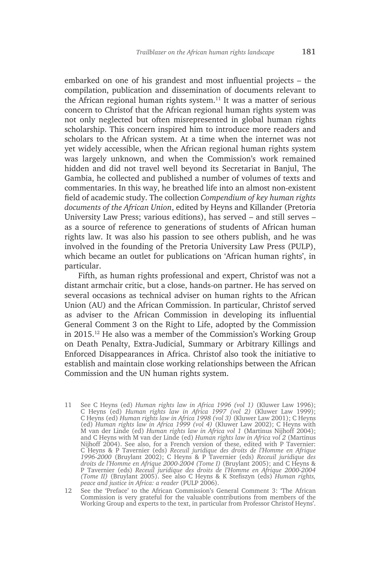embarked on one of his grandest and most influential projects – the compilation, publication and dissemination of documents relevant to the African regional human rights system.11 It was a matter of serious concern to Christof that the African regional human rights system was not only neglected but often misrepresented in global human rights scholarship. This concern inspired him to introduce more readers and scholars to the African system. At a time when the internet was not yet widely accessible, when the African regional human rights system was largely unknown, and when the Commission's work remained hidden and did not travel well beyond its Secretariat in Banjul, The Gambia, he collected and published a number of volumes of texts and commentaries. In this way, he breathed life into an almost non-existent field of academic study. The collection *Compendium of key human rights documents of the African Union*, edited by Heyns and Killander (Pretoria University Law Press; various editions), has served – and still serves – as a source of reference to generations of students of African human rights law. It was also his passion to see others publish, and he was involved in the founding of the Pretoria University Law Press (PULP), which became an outlet for publications on 'African human rights', in particular.

Fifth, as human rights professional and expert, Christof was not a distant armchair critic, but a close, hands-on partner. He has served on several occasions as technical adviser on human rights to the African Union (AU) and the African Commission. In particular, Christof served as adviser to the African Commission in developing its influential General Comment 3 on the Right to Life, adopted by the Commission in 2015.12 He also was a member of the Commission's Working Group on Death Penalty, Extra-Judicial, Summary or Arbitrary Killings and Enforced Disappearances in Africa. Christof also took the initiative to establish and maintain close working relationships between the African Commission and the UN human rights system.

11 See C Heyns (ed) *Human rights law in Africa 1996 (vol 1)* (Kluwer Law 1996); C Heyns (ed) *Human rights law in Africa 1997 (vol 2)* (Kluwer Law 1999); C Heyns (ed) *Human rights law in Africa 1998 (vol 3)* (Kluwer Law 2001); C Heyns (ed) *Human rights law in Africa 1999 (vol 4)* (Kluwer Law 2002); C Heyns with M van der Linde (ed) *Human rights law in Africa vol 1* (Martinus Nijhoff 2004); and C Heyns with M van der Linde (ed) *Human rights law in Africa vol 2* (Martinus Nijhoff 2004). See also, for a French version of these, edited with P Tavernier: C Heyns & P Tavernier (eds) *Receuil juridique des droits de l'Homme en Afrique 1996-2000* (Bruylant 2002); C Heyns & P Tavernier (eds) *Receuil juridique des droits de l'Homme en Afrique 2000-2004 (Tome I)* (Bruylant 2005); and C Heyns & P Tavernier (eds) *Receuil juridique des droits de l'Homme en Afrique 2000-2004 (Tome II)* (Bruylant 2005). See also C Heyns & K Stefiszyn (eds) *Human rights, peace and justice in Africa: a reader* (PULP 2006).

12 See the 'Preface' to the African Commission's General Comment 3: 'The African Commission is very grateful for the valuable contributions from members of the Working Group and experts to the text, in particular from Professor Christof Heyns'.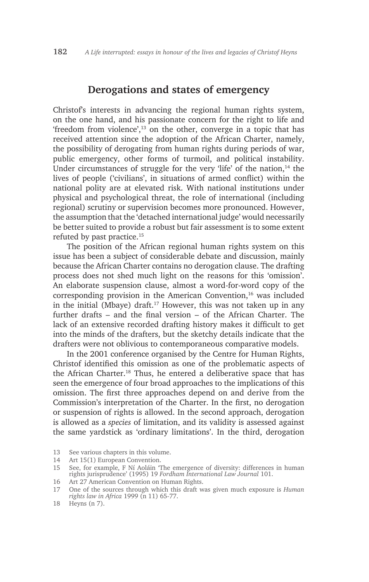# **Derogations and states of emergency**

Christof's interests in advancing the regional human rights system, on the one hand, and his passionate concern for the right to life and 'freedom from violence',13 on the other, converge in a topic that has received attention since the adoption of the African Charter, namely, the possibility of derogating from human rights during periods of war, public emergency, other forms of turmoil, and political instability. Under circumstances of struggle for the very 'life' of the nation, $14$  the lives of people ('civilians', in situations of armed conflict) within the national polity are at elevated risk. With national institutions under physical and psychological threat, the role of international (including regional) scrutiny or supervision becomes more pronounced. However, the assumption that the 'detached international judge' would necessarily be better suited to provide a robust but fair assessment is to some extent refuted by past practice.15

The position of the African regional human rights system on this issue has been a subject of considerable debate and discussion, mainly because the African Charter contains no derogation clause. The drafting process does not shed much light on the reasons for this 'omission'. An elaborate suspension clause, almost a word-for-word copy of the corresponding provision in the American Convention, $16$  was included in the initial (Mbaye) draft.<sup>17</sup> However, this was not taken up in any further drafts – and the final version – of the African Charter. The lack of an extensive recorded drafting history makes it difficult to get into the minds of the drafters, but the sketchy details indicate that the drafters were not oblivious to contemporaneous comparative models.

In the 2001 conference organised by the Centre for Human Rights, Christof identified this omission as one of the problematic aspects of the African Charter.<sup>18</sup> Thus, he entered a deliberative space that has seen the emergence of four broad approaches to the implications of this omission. The first three approaches depend on and derive from the Commission's interpretation of the Charter. In the first, no derogation or suspension of rights is allowed. In the second approach, derogation is allowed as a *species* of limitation, and its validity is assessed against the same yardstick as 'ordinary limitations'. In the third, derogation

14 Art 15(1) European Convention.

16 Art 27 American Convention on Human Rights.

<sup>13</sup> See various chapters in this volume.

<sup>15</sup> See, for example, F Ní Aoláin 'The emergence of diversity: differences in human rights jurisprudence' (1995) 19 *Fordham International Law Journal* 101.

<sup>17</sup> One of the sources through which this draft was given much exposure is *Human rights law in Africa* 1999 (n 11) 65-77.

<sup>18</sup> Heyns (n 7).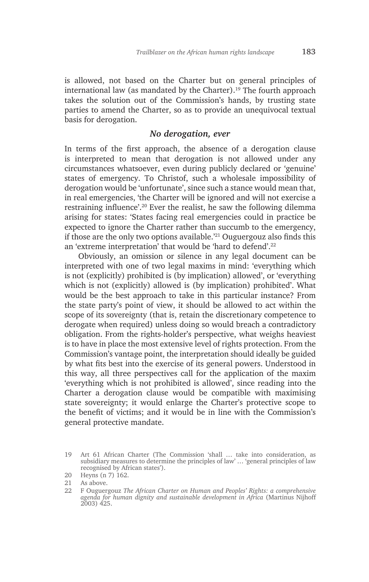is allowed, not based on the Charter but on general principles of international law (as mandated by the Charter).<sup>19</sup> The fourth approach takes the solution out of the Commission's hands, by trusting state parties to amend the Charter, so as to provide an unequivocal textual basis for derogation.

#### *No derogation, ever*

In terms of the first approach, the absence of a derogation clause is interpreted to mean that derogation is not allowed under any circumstances whatsoever, even during publicly declared or 'genuine' states of emergency. To Christof, such a wholesale impossibility of derogation would be 'unfortunate', since such a stance would mean that, in real emergencies, 'the Charter will be ignored and will not exercise a restraining influence'.20 Ever the realist, he saw the following dilemma arising for states: 'States facing real emergencies could in practice be expected to ignore the Charter rather than succumb to the emergency, if those are the only two options available.'21 Ouguergouz also finds this an 'extreme interpretation' that would be 'hard to defend'.22

Obviously, an omission or silence in any legal document can be interpreted with one of two legal maxims in mind: 'everything which is not (explicitly) prohibited is (by implication) allowed', or 'everything which is not (explicitly) allowed is (by implication) prohibited'. What would be the best approach to take in this particular instance? From the state party's point of view, it should be allowed to act within the scope of its sovereignty (that is, retain the discretionary competence to derogate when required) unless doing so would breach a contradictory obligation. From the rights-holder's perspective, what weighs heaviest is to have in place the most extensive level of rights protection. From the Commission's vantage point, the interpretation should ideally be guided by what fits best into the exercise of its general powers. Understood in this way, all three perspectives call for the application of the maxim 'everything which is not prohibited is allowed', since reading into the Charter a derogation clause would be compatible with maximising state sovereignty; it would enlarge the Charter's protective scope to the benefit of victims; and it would be in line with the Commission's general protective mandate.

<sup>19</sup> Art 61 African Charter (The Commission 'shall … take into consideration, as subsidiary measures to determine the principles of law' … 'general principles of law recognised by African states').

<sup>20</sup> Heyns (n 7) 162.

<sup>21</sup> As above.

<sup>22</sup> F Ouguergouz *The African Charter on Human and Peoples' Rights: a comprehensive agenda for human dignity and sustainable development in Africa* (Martinus Nijhoff 2003) 425.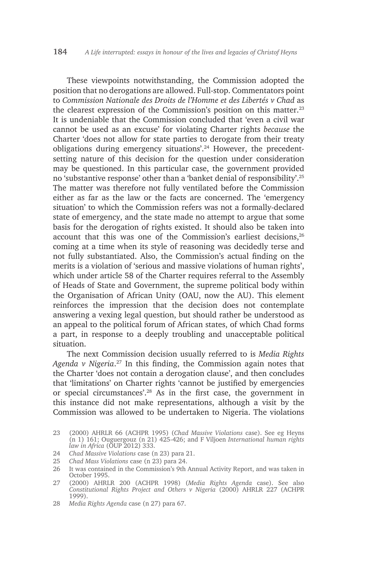These viewpoints notwithstanding, the Commission adopted the position that no derogations are allowed. Full-stop. Commentators point to *Commission Nationale des Droits de l'Homme et des Libertés v Chad* as the clearest expression of the Commission's position on this matter.23 It is undeniable that the Commission concluded that 'even a civil war cannot be used as an excuse' for violating Charter rights *because* the Charter 'does not allow for state parties to derogate from their treaty obligations during emergency situations'.24 However, the precedentsetting nature of this decision for the question under consideration may be questioned. In this particular case, the government provided no 'substantive response' other than a 'banket denial of responsibility'.25 The matter was therefore not fully ventilated before the Commission either as far as the law or the facts are concerned. The 'emergency situation' to which the Commission refers was not a formally-declared state of emergency, and the state made no attempt to argue that some basis for the derogation of rights existed. It should also be taken into account that this was one of the Commission's earliest decisions. $26$ coming at a time when its style of reasoning was decidedly terse and not fully substantiated. Also, the Commission's actual finding on the merits is a violation of 'serious and massive violations of human rights', which under article 58 of the Charter requires referral to the Assembly of Heads of State and Government, the supreme political body within the Organisation of African Unity (OAU, now the AU). This element reinforces the impression that the decision does not contemplate answering a vexing legal question, but should rather be understood as an appeal to the political forum of African states, of which Chad forms a part, in response to a deeply troubling and unacceptable political situation.

The next Commission decision usually referred to is *Media Rights Agenda v Nigeria*. <sup>27</sup> In this finding, the Commission again notes that the Charter 'does not contain a derogation clause', and then concludes that 'limitations' on Charter rights 'cannot be justified by emergencies or special circumstances'.28 As in the first case, the government in this instance did not make representations, although a visit by the Commission was allowed to be undertaken to Nigeria. The violations

- 24 *Chad Massive Violations* case (n 23) para 21.
- 25 *Chad Mass Violations* case (n 23) para 24.
- 26 It was contained in the Commission's 9th Annual Activity Report, and was taken in October 1995.
- 27 (2000) AHRLR 200 (ACHPR 1998) (*Media Rights Agenda* case). See also *Constitutional Rights Project and Others v Nigeria* (2000) AHRLR 227 (ACHPR 1999).
- 28 *Media Rights Agenda* case (n 27) para 67.

<sup>23</sup> (2000) AHRLR 66 (ACHPR 1995) (*Chad Massive Violations* case). See eg Heyns (n 1) 161; Ouguergouz (n 21) 425-426; and F Viljoen *International human rights law in Africa* (OUP 2012) 333.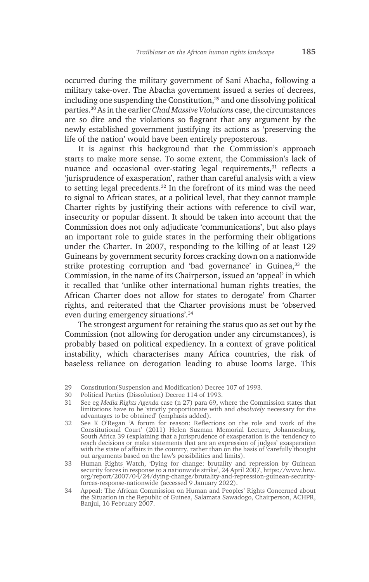occurred during the military government of Sani Abacha, following a military take-over. The Abacha government issued a series of decrees, including one suspending the Constitution,<sup>29</sup> and one dissolving political parties.30 As in the earlier *Chad Massive Violations* case, the circumstances are so dire and the violations so flagrant that any argument by the newly established government justifying its actions as 'preserving the life of the nation' would have been entirely preposterous.

It is against this background that the Commission's approach starts to make more sense. To some extent, the Commission's lack of nuance and occasional over-stating legal requirements,<sup>31</sup> reflects a 'jurisprudence of exasperation', rather than careful analysis with a view to setting legal precedents.32 In the forefront of its mind was the need to signal to African states, at a political level, that they cannot trample Charter rights by justifying their actions with reference to civil war, insecurity or popular dissent. It should be taken into account that the Commission does not only adjudicate 'communications', but also plays an important role to guide states in the performing their obligations under the Charter. In 2007, responding to the killing of at least 129 Guineans by government security forces cracking down on a nationwide strike protesting corruption and 'bad governance' in Guinea,<sup>33</sup> the Commission, in the name of its Chairperson, issued an 'appeal' in which it recalled that 'unlike other international human rights treaties, the African Charter does not allow for states to derogate' from Charter rights, and reiterated that the Charter provisions must be 'observed even during emergency situations'.34

The strongest argument for retaining the status quo as set out by the Commission (not allowing for derogation under any circumstances), is probably based on political expediency. In a context of grave political instability, which characterises many Africa countries, the risk of baseless reliance on derogation leading to abuse looms large. This

<sup>29</sup> Constitution(Suspension and Modification) Decree 107 of 1993.

<sup>30</sup> Political Parties (Dissolution) Decree 114 of 1993.<br>31 See eg Media Rights Agenda case (n 27) para 69. w

<sup>31</sup> See eg *Media Rights Agenda* case (n 27) para 69, where the Commission states that limitations have to be 'strictly proportionate with and *absolutely* necessary for the advantages to be obtained' (emphasis added).

<sup>32</sup> See K O'Regan 'A forum for reason: Reflections on the role and work of the Constitutional Court' (2011) Helen Suzman Memorial Lecture, Johannesburg, South Africa 39 (explaining that a jurisprudence of exasperation is the 'tendency to reach decisions or make statements that are an expression of judges' exasperation with the state of affairs in the country, rather than on the basis of 'carefully thought out arguments based on the law's possibilities and limits).

<sup>33</sup> Human Rights Watch, 'Dying for change: brutality and repression by Guinean security forces in response to a nationwide strike', 24 April 2007, https://www.hrw. org/report/2007/04/24/dying-change/brutality-and-repression-guinean-securityforces-response-nationwide (accessed 9 January 2022).

<sup>34</sup> Appeal: The African Commission on Human and Peoples' Rights Concerned about the Situation in the Republic of Guinea, Salamata Sawadogo, Chairperson, ACHPR, Banjul, 16 February 2007.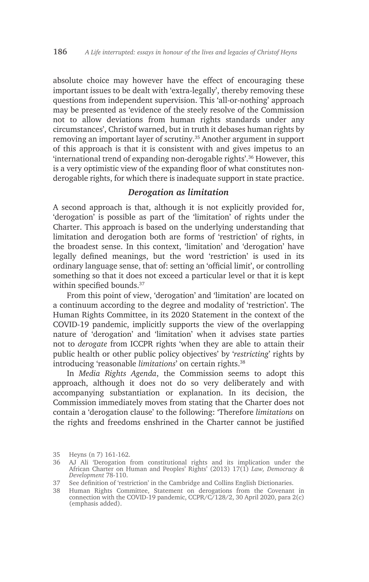absolute choice may however have the effect of encouraging these important issues to be dealt with 'extra-legally', thereby removing these questions from independent supervision. This 'all-or-nothing' approach may be presented as 'evidence of the steely resolve of the Commission not to allow deviations from human rights standards under any circumstances', Christof warned, but in truth it debases human rights by removing an important layer of scrutiny.35 Another argument in support of this approach is that it is consistent with and gives impetus to an 'international trend of expanding non-derogable rights'.36 However, this is a very optimistic view of the expanding floor of what constitutes nonderogable rights, for which there is inadequate support in state practice.

### *Derogation as limitation*

A second approach is that, although it is not explicitly provided for, 'derogation' is possible as part of the 'limitation' of rights under the Charter. This approach is based on the underlying understanding that limitation and derogation both are forms of 'restriction' of rights, in the broadest sense. In this context, 'limitation' and 'derogation' have legally defined meanings, but the word 'restriction' is used in its ordinary language sense, that of: setting an 'official limit', or controlling something so that it does not exceed a particular level or that it is kept within specified bounds.<sup>37</sup>

From this point of view, 'derogation' and 'limitation' are located on a continuum according to the degree and modality of 'restriction'. The Human Rights Committee, in its 2020 Statement in the context of the COVID-19 pandemic, implicitly supports the view of the overlapping nature of 'derogation' and 'limitation' when it advises state parties not to *derogate* from ICCPR rights 'when they are able to attain their public health or other public policy objectives' by '*restricting*' rights by introducing 'reasonable *limitations*' on certain rights.38

In *Media Rights Agenda*, the Commission seems to adopt this approach, although it does not do so very deliberately and with accompanying substantiation or explanation. In its decision, the Commission immediately moves from stating that the Charter does not contain a 'derogation clause' to the following: 'Therefore *limitations* on the rights and freedoms enshrined in the Charter cannot be justified

<sup>35</sup> Heyns (n 7) 161-162.

<sup>36</sup> AJ Ali 'Derogation from constitutional rights and its implication under the African Charter on Human and Peoples' Rights' (2013) 17(1) *Law, Democracy & Development* 78-110.

<sup>37</sup> See definition of 'restriction' in the Cambridge and Collins English Dictionaries.

<sup>38</sup> Human Rights Committee, Statement on derogations from the Covenant in connection with the COVID-19 pandemic, CCPR/C/128/2, 30 April 2020, para 2(c) (emphasis added).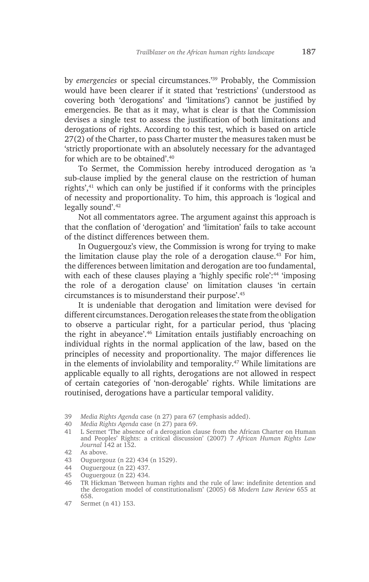by *emergencies* or special circumstances.'39 Probably, the Commission would have been clearer if it stated that 'restrictions' (understood as covering both 'derogations' and 'limitations') cannot be justified by emergencies. Be that as it may, what is clear is that the Commission devises a single test to assess the justification of both limitations and derogations of rights. According to this test, which is based on article 27(2) of the Charter, to pass Charter muster the measures taken must be 'strictly proportionate with an absolutely necessary for the advantaged for which are to be obtained'.40

To Sermet, the Commission hereby introduced derogation as 'a sub-clause implied by the general clause on the restriction of human rights',41 which can only be justified if it conforms with the principles of necessity and proportionality. To him, this approach is 'logical and legally sound'.42

Not all commentators agree. The argument against this approach is that the conflation of 'derogation' and 'limitation' fails to take account of the distinct differences between them.

In Ouguergouz's view, the Commission is wrong for trying to make the limitation clause play the role of a derogation clause.<sup>43</sup> For him, the differences between limitation and derogation are too fundamental, with each of these clauses playing a 'highly specific role':<sup>44</sup> 'imposing the role of a derogation clause' on limitation clauses 'in certain circumstances is to misunderstand their purpose'.45

It is undeniable that derogation and limitation were devised for different circumstances. Derogation releases the state from the obligation to observe a particular right, for a particular period, thus 'placing the right in abeyance'.46 Limitation entails justifiably encroaching on individual rights in the normal application of the law, based on the principles of necessity and proportionality. The major differences lie in the elements of inviolability and temporality.47 While limitations are applicable equally to all rights, derogations are not allowed in respect of certain categories of 'non-derogable' rights. While limitations are routinised, derogations have a particular temporal validity.

<sup>39</sup> *Media Rights Agenda* case (n 27) para 67 (emphasis added).

<sup>40</sup> *Media Rights Agenda* case (n 27) para 69.

<sup>41</sup> L Sermet 'The absence of a derogation clause from the African Charter on Human and Peoples' Rights: a critical discussion' (2007) 7 *African Human Rights Law Journal* 142 at 152.

<sup>42</sup> As above.

<sup>43</sup> Ouguergouz (n 22) 434 (n 1529).

<sup>44</sup> Ouguergouz (n 22) 437.

<sup>45</sup> Ouguergouz (n 22) 434.

<sup>46</sup> TR Hickman 'Between human rights and the rule of law: indefinite detention and the derogation model of constitutionalism' (2005) 68 *Modern Law Review* 655 at 658.

<sup>47</sup> Sermet (n 41) 153.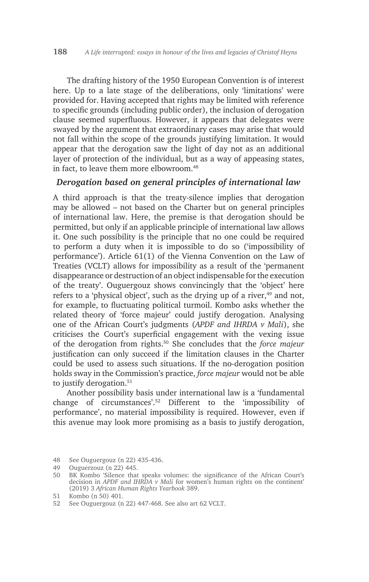The drafting history of the 1950 European Convention is of interest here. Up to a late stage of the deliberations, only 'limitations' were provided for. Having accepted that rights may be limited with reference to specific grounds (including public order), the inclusion of derogation clause seemed superfluous. However, it appears that delegates were swayed by the argument that extraordinary cases may arise that would not fall within the scope of the grounds justifying limitation. It would appear that the derogation saw the light of day not as an additional layer of protection of the individual, but as a way of appeasing states, in fact, to leave them more elbowroom.<sup>48</sup>

#### *Derogation based on general principles of international law*

A third approach is that the treaty-silence implies that derogation may be allowed – not based on the Charter but on general principles of international law. Here, the premise is that derogation should be permitted, but only if an applicable principle of international law allows it. One such possibility is the principle that no one could be required to perform a duty when it is impossible to do so ('impossibility of performance'). Article 61(1) of the Vienna Convention on the Law of Treaties (VCLT) allows for impossibility as a result of the 'permanent disappearance or destruction of an object indispensable for the execution of the treaty'. Ouguergouz shows convincingly that the 'object' here refers to a 'physical object', such as the drying up of a river,<sup>49</sup> and not, for example, to fluctuating political turmoil. Kombo asks whether the related theory of 'force majeur' could justify derogation. Analysing one of the African Court's judgments (*APDF and IHRDA v Mali*), she criticises the Court's superficial engagement with the vexing issue of the derogation from rights.50 She concludes that the *force majeur* justification can only succeed if the limitation clauses in the Charter could be used to assess such situations. If the no-derogation position holds sway in the Commission's practice, *force majeur* would not be able to justify derogation.<sup>51</sup>

Another possibility basis under international law is a 'fundamental change of circumstances'.52 Different to the 'impossibility of performance', no material impossibility is required. However, even if this avenue may look more promising as a basis to justify derogation,

<sup>48</sup> See Ouguergouz (n 22) 435-436.

<sup>49</sup> Ouguerzouz (n 22) 445.

<sup>50</sup> BK Kombo 'Silence that speaks volumes: the significance of the African Court's decision in *APDF and IHRDA v Mali* for women's human rights on the continent' (2019) 3 *African Human Rights Yearbook* 389.

<sup>51</sup> Kombo (n 50) 401.

<sup>52</sup> See Ouguergouz (n 22) 447-468. See also art 62 VCLT.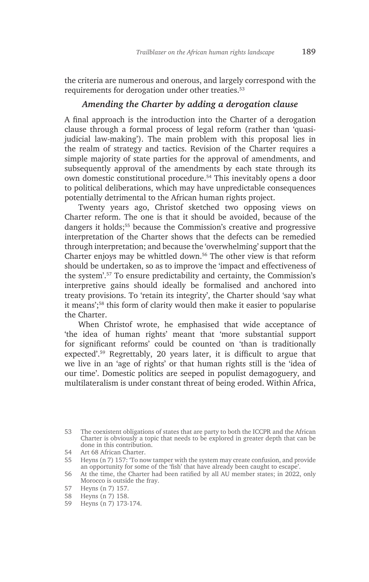the criteria are numerous and onerous, and largely correspond with the requirements for derogation under other treaties.53

#### *Amending the Charter by adding a derogation clause*

A final approach is the introduction into the Charter of a derogation clause through a formal process of legal reform (rather than 'quasijudicial law-making'). The main problem with this proposal lies in the realm of strategy and tactics. Revision of the Charter requires a simple majority of state parties for the approval of amendments, and subsequently approval of the amendments by each state through its own domestic constitutional procedure.54 This inevitably opens a door to political deliberations, which may have unpredictable consequences potentially detrimental to the African human rights project.

Twenty years ago, Christof sketched two opposing views on Charter reform. The one is that it should be avoided, because of the dangers it holds;<sup>55</sup> because the Commission's creative and progressive interpretation of the Charter shows that the defects can be remedied through interpretation; and because the 'overwhelming' support that the Charter enjoys may be whittled down.<sup>56</sup> The other view is that reform should be undertaken, so as to improve the 'impact and effectiveness of the system'.57 To ensure predictability and certainty, the Commission's interpretive gains should ideally be formalised and anchored into treaty provisions. To 'retain its integrity', the Charter should 'say what it means';58 this form of clarity would then make it easier to popularise the Charter.

When Christof wrote, he emphasised that wide acceptance of 'the idea of human rights' meant that 'more substantial support for significant reforms' could be counted on 'than is traditionally expected'.59 Regrettably, 20 years later, it is difficult to argue that we live in an 'age of rights' or that human rights still is the 'idea of our time'. Domestic politics are seeped in populist demagoguery, and multilateralism is under constant threat of being eroded. Within Africa,

<sup>53</sup> The coexistent obligations of states that are party to both the ICCPR and the African Charter is obviously a topic that needs to be explored in greater depth that can be done in this contribution.

<sup>54</sup> Art 68 African Charter.

<sup>55</sup> Heyns (n 7) 157: 'To now tamper with the system may create confusion, and provide an opportunity for some of the 'fish' that have already been caught to escape'.

<sup>56</sup> At the time, the Charter had been ratified by all AU member states; in 2022, only Morocco is outside the fray.

<sup>57</sup> Heyns (n 7) 157.

<sup>58</sup> Heyns (n 7) 158.

<sup>59</sup> Heyns (n 7) 173-174.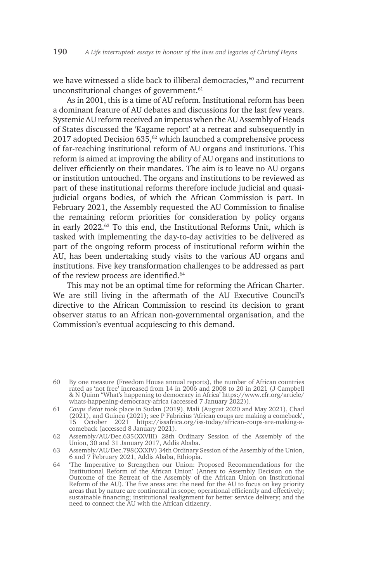we have witnessed a slide back to illiberal democracies,<sup>60</sup> and recurrent unconstitutional changes of government.<sup>61</sup>

As in 2001, this is a time of AU reform. Institutional reform has been a dominant feature of AU debates and discussions for the last few years. Systemic AU reform received an impetus when the AU Assembly of Heads of States discussed the 'Kagame report' at a retreat and subsequently in 2017 adopted Decision  $635,62$  which launched a comprehensive process of far-reaching institutional reform of AU organs and institutions. This reform is aimed at improving the ability of AU organs and institutions to deliver efficiently on their mandates. The aim is to leave no AU organs or institution untouched. The organs and institutions to be reviewed as part of these institutional reforms therefore include judicial and quasijudicial organs bodies, of which the African Commission is part. In February 2021, the Assembly requested the AU Commission to finalise the remaining reform priorities for consideration by policy organs in early 2022.63 To this end, the Institutional Reforms Unit, which is tasked with implementing the day-to-day activities to be delivered as part of the ongoing reform process of institutional reform within the AU, has been undertaking study visits to the various AU organs and institutions. Five key transformation challenges to be addressed as part of the review process are identified.<sup>64</sup>

This may not be an optimal time for reforming the African Charter. We are still living in the aftermath of the AU Executive Council's directive to the African Commission to rescind its decision to grant observer status to an African non-governmental organisation, and the Commission's eventual acquiescing to this demand.

<sup>60</sup> By one measure (Freedom House annual reports), the number of African countries rated as 'not free' increased from 14 in 2006 and 2008 to 20 in 2021 (J Campbell & N Quinn "What's happening to democracy in Africa' https://www.cfr.org/article/ whats-happening-democracy-africa (accessed 7 January 2022)).

<sup>61</sup> *Coups d'etat* took place in Sudan (2019), Mali (August 2020 and May 2021), Chad (2021), and Guinea (2021); see P Fabricius 'African coups are making a comeback', 15 October 2021 https://issafrica.org/iss-today/african-coups-are-making-acomeback (accessed 8 January 2021).

<sup>62</sup> Assembly/AU/Dec.635(XXVIII) 28th Ordinary Session of the Assembly of the Union, 30 and 31 January 2017, Addis Ababa.

<sup>63</sup> Assembly/AU/Dec.798(XXXIV) 34th Ordinary Session of the Assembly of the Union, 6 and 7 February 2021, Addis Ababa, Ethiopia.

<sup>64</sup> 'The Imperative to Strengthen our Union: Proposed Recommendations for the Institutional Reform of the African Union' (Annex to Assembly Decision on the Outcome of the Retreat of the Assembly of the African Union on Institutional Reform of the AU). The five areas are: the need for the AU to focus on key priority areas that by nature are continental in scope; operational efficiently and effectively; sustainable financing; institutional realignment for better service delivery; and the need to connect the AU with the African citizenry.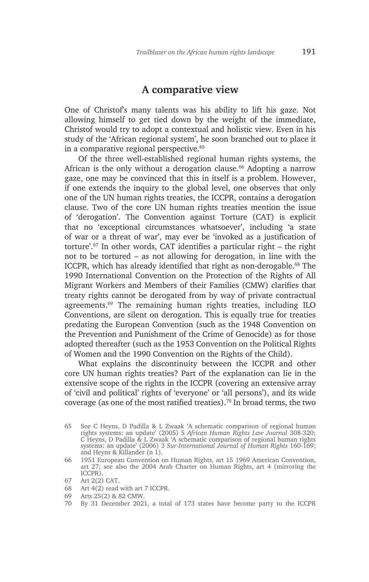### **A comparative view**

One of Christof's many talents was his ability to lift his gaze. Not allowing himself to get tied down by the weight of the immediate, Christof would try to adopt a contextual and holistic view. Even in his study of the 'African regional system', he soon branched out to place it in a comparative regional perspective.<sup>65</sup>

Of the three well-established regional human rights systems, the African is the only without a derogation clause.<sup>66</sup> Adopting a narrow gaze, one may be convinced that this in itself is a problem. However, if one extends the inquiry to the global level, one observes that only one of the UN human rights treaties, the ICCPR, contains a derogation clause. Two of the core UN human rights treaties mention the issue of 'derogation'. The Convention against Torture (CAT) is explicit that no 'exceptional circumstances whatsoever', including 'a state of war or a threat of war', may ever be 'invoked as a justification of torture'.67 In other words, CAT identifies a particular right – the right not to be tortured – as not allowing for derogation, in line with the ICCPR, which has already identified that right as non-derogable.<sup>68</sup> The 1990 International Convention on the Protection of the Rights of All Migrant Workers and Members of their Families (CMW) clarifies that treaty rights cannot be derogated from by way of private contractual agreements.69 The remaining human rights treaties, including ILO Conventions, are silent on derogation. This is equally true for treaties predating the European Convention (such as the 1948 Convention on the Prevention and Punishment of the Crime of Genocide) as for those adopted thereafter (such as the 1953 Convention on the Political Rights of Women and the 1990 Convention on the Rights of the Child).

What explains the discontinuity between the ICCPR and other core UN human rights treaties? Part of the explanation can lie in the extensive scope of the rights in the ICCPR (covering an extensive array of 'civil and political' rights of 'everyone' or 'all persons'), and its wide coverage (as one of the most ratified treaties).<sup>70</sup> In broad terms, the two

- 68 Art 4(2) read with art 7 ICCPR.
- 69 Arts 25(2) & 82 CMW.
- 70 By 31 December 2021, a total of 173 states have become party to the ICCPR

<sup>65</sup> See C Heyns, D Padilla & L Zwaak 'A schematic comparison of regional human rights systems: an update' (2005) 5 *African Human Rights Law Journal* 308-320; C Heyns, D Padilla & L Zwaak 'A schematic comparison of regional human rights systems: an update' (2006) 3 *Sur-International Journal of Human Rights* 160-169; and Heyns & Killander (n 1).

<sup>66</sup> 1951 European Convention on Human Rights, art 15 1969 American Convention, art 27; see also the 2004 Arab Charter on Human Rights, art 4 (mirroring the ICCPR).

<sup>67</sup> Art 2(2) CAT.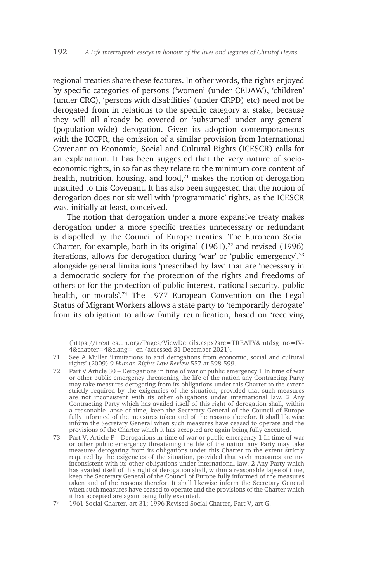regional treaties share these features. In other words, the rights enjoyed by specific categories of persons ('women' (under CEDAW), 'children' (under CRC), 'persons with disabilities' (under CRPD) etc) need not be derogated from in relations to the specific category at stake, because they will all already be covered or 'subsumed' under any general (population-wide) derogation. Given its adoption contemporaneous with the ICCPR, the omission of a similar provision from International Covenant on Economic, Social and Cultural Rights (ICESCR) calls for an explanation. It has been suggested that the very nature of socioeconomic rights, in so far as they relate to the minimum core content of health, nutrition, housing, and food,<sup>71</sup> makes the notion of derogation unsuited to this Covenant. It has also been suggested that the notion of derogation does not sit well with 'programmatic' rights, as the ICESCR was, initially at least, conceived.

The notion that derogation under a more expansive treaty makes derogation under a more specific treaties unnecessary or redundant is dispelled by the Council of Europe treaties. The European Social Charter, for example, both in its original  $(1961)$ ,<sup>72</sup> and revised  $(1996)$ iterations, allows for derogation during 'war' or 'public emergency',73 alongside general limitations 'prescribed by law' that are 'necessary in a democratic society for the protection of the rights and freedoms of others or for the protection of public interest, national security, public health, or morals<sup>'74</sup> The 1977 European Convention on the Legal Status of Migrant Workers allows a state party to 'temporarily derogate' from its obligation to allow family reunification, based on 'receiving

- 72 Part V Article 30 Derogations in time of war or public emergency 1 In time of war or other public emergency threatening the life of the nation any Contracting Party may take measures derogating from its obligations under this Charter to the extent strictly required by the exigencies of the situation, provided that such measures are not inconsistent with its other obligations under international law. 2 Any Contracting Party which has availed itself of this right of derogation shall, within a reasonable lapse of time, keep the Secretary General of the Council of Europe fully informed of the measures taken and of the reasons therefor. It shall likewise inform the Secretary General when such measures have ceased to operate and the provisions of the Charter which it has accepted are again being fully executed.
- 73 Part V, Article F Derogations in time of war or public emergency 1 In time of war or other public emergency threatening the life of the nation any Party may take measures derogating from its obligations under this Charter to the extent strictly required by the exigencies of the situation, provided that such measures are not inconsistent with its other obligations under international law. 2 Any Party which has availed itself of this right of derogation shall, within a reasonable lapse of time, keep the Secretary General of the Council of Europe fully informed of the measures taken and of the reasons therefor. It shall likewise inform the Secretary General when such measures have ceased to operate and the provisions of the Charter which it has accepted are again being fully executed.
- 74 1961 Social Charter, art 31; 1996 Revised Social Charter, Part V, art G.

<sup>(</sup>https://treaties.un.org/Pages/ViewDetails.aspx?src=TREATY&mtdsg\_no=IV-4&chapter=4&clang=\_en (accessed 31 December 2021).

<sup>71</sup> See A Müller 'Limitations to and derogations from economic, social and cultural rights' (2009) 9 *Human Rights Law Review* 557 at 598-599.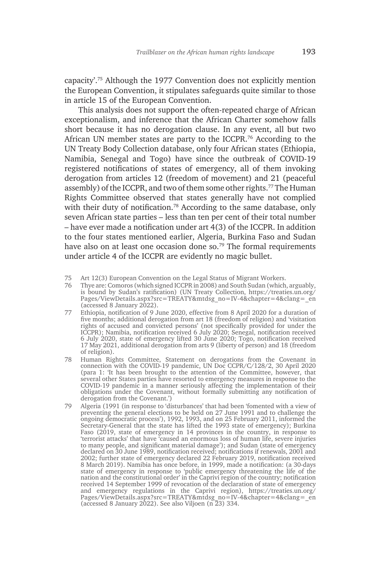capacity'.75 Although the 1977 Convention does not explicitly mention the European Convention, it stipulates safeguards quite similar to those in article 15 of the European Convention.

This analysis does not support the often-repeated charge of African exceptionalism, and inference that the African Charter somehow falls short because it has no derogation clause. In any event, all but two African UN member states are party to the ICCPR.76 According to the UN Treaty Body Collection database, only four African states (Ethiopia, Namibia, Senegal and Togo) have since the outbreak of COVID-19 registered notifications of states of emergency, all of them invoking derogation from articles 12 (freedom of movement) and 21 (peaceful assembly) of the ICCPR, and two of them some other rights.<sup>77</sup> The Human Rights Committee observed that states generally have not complied with their duty of notification.<sup>78</sup> According to the same database, only seven African state parties – less than ten per cent of their total number – have ever made a notification under art 4(3) of the ICCPR. In addition to the four states mentioned earlier, Algeria, Burkina Faso and Sudan have also on at least one occasion done so.<sup>79</sup> The formal requirements under article 4 of the ICCPR are evidently no magic bullet.

- 75 Art 12(3) European Convention on the Legal Status of Migrant Workers.
- 76 Thye are: Comoros (which signed ICCPR in 2008) and South Sudan (which, arguably, is bound by Sudan's ratification) (UN Treaty Collection, https://treaties.un.org/ Pages/ViewDetails.aspx?src=TREATY&mtdsg\_no=IV-4&chapter=4&clang=\_en (accessed 8 January 2022).
- 77 Ethiopia, notification of 9 June 2020, effective from 8 April 2020 for a duration of five months; additional derogation from art 18 (freedom of religion) and 'visitation rights of accused and convicted persons' (not specifically provided for under the ICCPR); Namibia, notification received 6 July 2020; Senegal, notification received 6 July 2020, state of emergency lifted 30 June 2020; Togo, notification received 17 May 2021, additional derogation from arts 9 (liberty of person) and 18 (freedom of religion).
- 78 Human Rights Committee, Statement on derogations from the Covenant in connection with the COVID-19 pandemic, UN Doc CCPR/C/128/2, 30 April 2020 (para 1: 'It has been brought to the attention of the Committee, however, that several other States parties have resorted to emergency measures in response to the COVID-19 pandemic in a manner seriously affecting the implementation of their obligations under the Covenant, without formally submitting any notification of derogation from the Covenant.')
- 79 Algeria (1991 (in response to 'disturbances' that had been 'fomented with a view of preventing the general elections to be held on 27 June 1991 and to challenge the ongoing democratic process'), 1992, 1993, and on 25 February 2011, informed the Secretary-General that the state has lifted the 1993 state of emergency); Burkina Faso (2019, state of emergency in 14 provinces in the country, in response to 'terrorist attacks' that have 'caused an enormous loss of human life, severe injuries to many people, and significant material damage'); and Sudan (state of emergency declared on 30 June 1989, notification received; notifications if renewals, 2001 and 2002; further state of emergency declared 22 February 2019, notification received 8 March 2019). Namibia has once before, in 1999, made a notification: (a 30-days state of emergency in response to 'public emergency threatening the life of the nation and the constitutional order' in the Caprivi region of the country; notification received 14 September 1999 of revocation of the declaration of state of emergency and emergency regulations in the Caprivi region), https://treaties.un.org/ Pages/ViewDetails.aspx?src=TREATY&mtdsg\_no=IV-4&chapter=4&clang=\_en (accessed 8 January 2022). See also Viljoen (n  $\overline{2}3$ ) 334.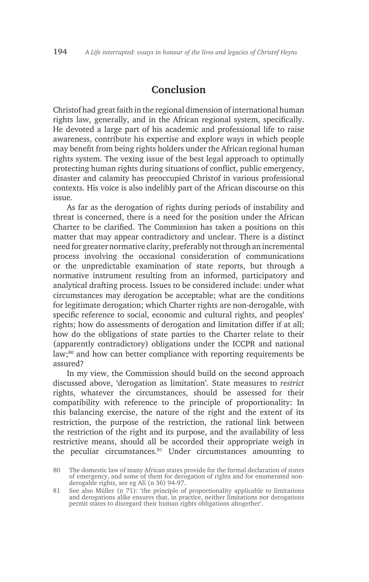## **Conclusion**

Christof had great faith in the regional dimension of international human rights law, generally, and in the African regional system, specifically. He devoted a large part of his academic and professional life to raise awareness, contribute his expertise and explore ways in which people may benefit from being rights holders under the African regional human rights system. The vexing issue of the best legal approach to optimally protecting human rights during situations of conflict, public emergency, disaster and calamity has preoccupied Christof in various professional contexts. His voice is also indelibly part of the African discourse on this issue.

As far as the derogation of rights during periods of instability and threat is concerned, there is a need for the position under the African Charter to be clarified. The Commission has taken a positions on this matter that may appear contradictory and unclear. There is a distinct need for greater normative clarity, preferably not through an incremental process involving the occasional consideration of communications or the unpredictable examination of state reports, but through a normative instrument resulting from an informed, participatory and analytical drafting process. Issues to be considered include: under what circumstances may derogation be acceptable; what are the conditions for legitimate derogation; which Charter rights are non-derogable, with specific reference to social, economic and cultural rights, and peoples' rights; how do assessments of derogation and limitation differ if at all; how do the obligations of state parties to the Charter relate to their (apparently contradictory) obligations under the ICCPR and national law;<sup>80</sup> and how can better compliance with reporting requirements be assured?

In my view, the Commission should build on the second approach discussed above, 'derogation as limitation'. State measures to *restrict*  rights, whatever the circumstances, should be assessed for their compatibility with reference to the principle of proportionality: In this balancing exercise, the nature of the right and the extent of its restriction, the purpose of the restriction, the rational link between the restriction of the right and its purpose, and the availability of less restrictive means, should all be accorded their appropriate weigh in the peculiar circumstances.<sup>81</sup> Under circumstances amounting to

<sup>80</sup> The domestic law of many African states provide for the formal declaration of states of emergency, and some of them for derogation of rights and for enumerated nonderogable rights, see eg Ali (n 36) 94-97.

<sup>81</sup> See also Müller (n 71): 'the principle of proportionality applicable to limitations and derogations alike ensures that, in practice, neither limitations nor derogations permit states to disregard their human rights obligations altogether'.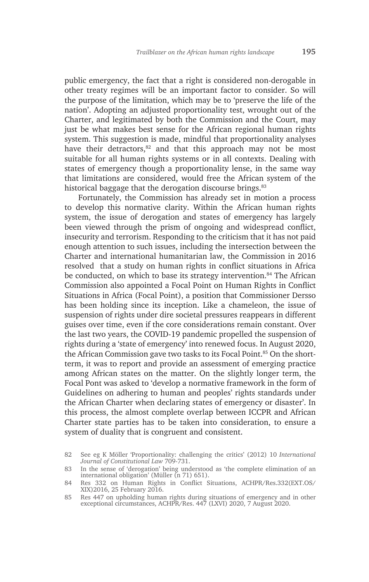public emergency, the fact that a right is considered non-derogable in other treaty regimes will be an important factor to consider. So will the purpose of the limitation, which may be to 'preserve the life of the nation'. Adopting an adjusted proportionality test, wrought out of the Charter, and legitimated by both the Commission and the Court, may just be what makes best sense for the African regional human rights system. This suggestion is made, mindful that proportionality analyses have their detractors,<sup>82</sup> and that this approach may not be most suitable for all human rights systems or in all contexts. Dealing with states of emergency though a proportionality lense, in the same way that limitations are considered, would free the African system of the historical baggage that the derogation discourse brings.<sup>83</sup>

Fortunately, the Commission has already set in motion a process to develop this normative clarity. Within the African human rights system, the issue of derogation and states of emergency has largely been viewed through the prism of ongoing and widespread conflict, insecurity and terrorism. Responding to the criticism that it has not paid enough attention to such issues, including the intersection between the Charter and international humanitarian law, the Commission in 2016 resolved that a study on human rights in conflict situations in Africa be conducted, on which to base its strategy intervention.<sup>84</sup> The African Commission also appointed a Focal Point on Human Rights in Conflict Situations in Africa (Focal Point), a position that Commissioner Dersso has been holding since its inception. Like a chameleon, the issue of suspension of rights under dire societal pressures reappears in different guises over time, even if the core considerations remain constant. Over the last two years, the COVID-19 pandemic propelled the suspension of rights during a 'state of emergency' into renewed focus. In August 2020, the African Commission gave two tasks to its Focal Point.<sup>85</sup> On the shortterm, it was to report and provide an assessment of emerging practice among African states on the matter. On the slightly longer term, the Focal Pont was asked to 'develop a normative framework in the form of Guidelines on adhering to human and peoples' rights standards under the African Charter when declaring states of emergency or disaster'. In this process, the almost complete overlap between ICCPR and African Charter state parties has to be taken into consideration, to ensure a system of duality that is congruent and consistent.

<sup>82</sup> See eg K Möller 'Proportionality: challenging the critics' (2012) 10 *International Journal of Constitutional Law* 709-731.

<sup>83</sup> In the sense of 'derogation' being understood as 'the complete elimination of an international obligation' (Müller (n 71) 651).

<sup>84</sup> Res 332 on Human Rights in Conflict Situations, ACHPR/Res.332(EXT.OS/ XIX)2016, 25 February 2016.

<sup>85</sup> Res 447 on upholding human rights during situations of emergency and in other exceptional circumstances, ACHPR/Res. 447 (LXVI) 2020, 7 August 2020.